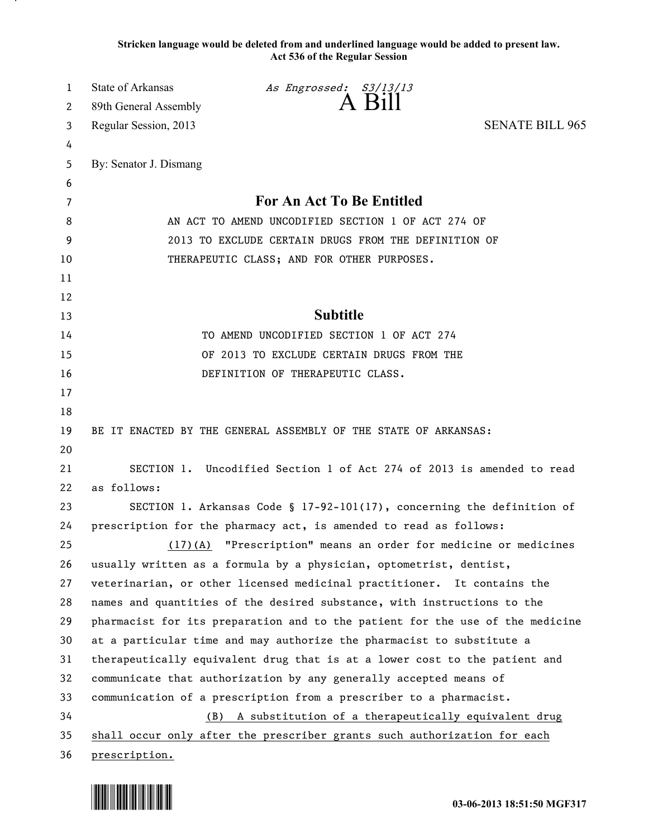**Stricken language would be deleted from and underlined language would be added to present law. Act 536 of the Regular Session**

| 1      | <b>State of Arkansas</b>                                                      | As Engrossed: S3/13/13<br>A Bill                                         |                        |
|--------|-------------------------------------------------------------------------------|--------------------------------------------------------------------------|------------------------|
| 2      | 89th General Assembly                                                         |                                                                          |                        |
| 3      | Regular Session, 2013                                                         |                                                                          | <b>SENATE BILL 965</b> |
| 4<br>5 | By: Senator J. Dismang                                                        |                                                                          |                        |
| 6      |                                                                               |                                                                          |                        |
| 7      |                                                                               | For An Act To Be Entitled                                                |                        |
| 8      | AN ACT TO AMEND UNCODIFIED SECTION 1 OF ACT 274 OF                            |                                                                          |                        |
| 9      | 2013 TO EXCLUDE CERTAIN DRUGS FROM THE DEFINITION OF                          |                                                                          |                        |
| 10     | THERAPEUTIC CLASS; AND FOR OTHER PURPOSES.                                    |                                                                          |                        |
| 11     |                                                                               |                                                                          |                        |
| 12     |                                                                               |                                                                          |                        |
| 13     |                                                                               | <b>Subtitle</b>                                                          |                        |
| 14     | TO AMEND UNCODIFIED SECTION 1 OF ACT 274                                      |                                                                          |                        |
| 15     | OF 2013 TO EXCLUDE CERTAIN DRUGS FROM THE                                     |                                                                          |                        |
| 16     |                                                                               | DEFINITION OF THERAPEUTIC CLASS.                                         |                        |
| 17     |                                                                               |                                                                          |                        |
| 18     |                                                                               |                                                                          |                        |
| 19     |                                                                               | BE IT ENACTED BY THE GENERAL ASSEMBLY OF THE STATE OF ARKANSAS:          |                        |
| 20     |                                                                               |                                                                          |                        |
| 21     |                                                                               | SECTION 1. Uncodified Section 1 of Act 274 of 2013 is amended to read    |                        |
| 22     | as follows:                                                                   |                                                                          |                        |
| 23     |                                                                               | SECTION 1. Arkansas Code § 17-92-101(17), concerning the definition of   |                        |
| 24     |                                                                               | prescription for the pharmacy act, is amended to read as follows:        |                        |
| 25     |                                                                               | (17)(A) "Prescription" means an order for medicine or medicines          |                        |
| 26     |                                                                               | usually written as a formula by a physician, optometrist, dentist,       |                        |
| 27     |                                                                               | veterinarian, or other licensed medicinal practitioner. It contains the  |                        |
| 28     |                                                                               | names and quantities of the desired substance, with instructions to the  |                        |
| 29     | pharmacist for its preparation and to the patient for the use of the medicine |                                                                          |                        |
| 30     | at a particular time and may authorize the pharmacist to substitute a         |                                                                          |                        |
| 31     | therapeutically equivalent drug that is at a lower cost to the patient and    |                                                                          |                        |
| 32     | communicate that authorization by any generally accepted means of             |                                                                          |                        |
| 33     | communication of a prescription from a prescriber to a pharmacist.            |                                                                          |                        |
| 34     | (B) A substitution of a therapeutically equivalent drug                       |                                                                          |                        |
| 35     |                                                                               | shall occur only after the prescriber grants such authorization for each |                        |
| 36     | prescription.                                                                 |                                                                          |                        |